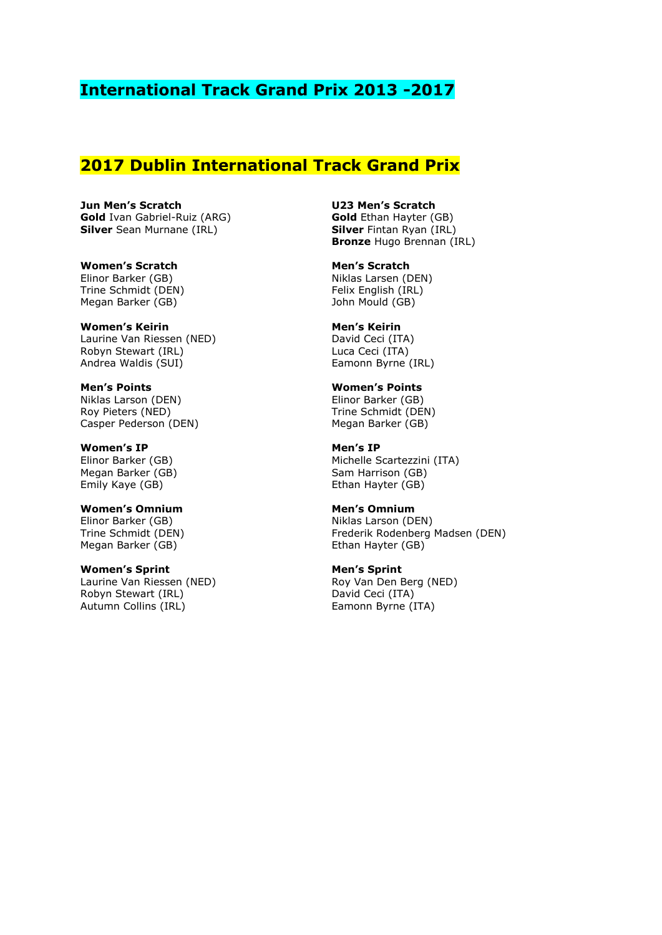## **International Track Grand Prix 2013 -2017**

## **2017 Dublin International Track Grand Prix**

**Jun Men's Scratch Gold** Ivan Gabriel-Ruiz (ARG) **Silver** Sean Murnane (IRL)

**Women's Scratch** Elinor Barker (GB) Trine Schmidt (DEN) Megan Barker (GB)

**Women's Keirin** Laurine Van Riessen (NED) Robyn Stewart (IRL) Andrea Waldis (SUI)

**Men's Points** Niklas Larson (DEN) Roy Pieters (NED) Casper Pederson (DEN)

**Women's IP** Elinor Barker (GB) Megan Barker (GB) Emily Kaye (GB)

**Women's Omnium** Elinor Barker (GB) Trine Schmidt (DEN) Megan Barker (GB)

**Women's Sprint** Laurine Van Riessen (NED) Robyn Stewart (IRL) Autumn Collins (IRL)

**U23 Men's Scratch Gold** Ethan Hayter (GB) **Silver** Fintan Ryan (IRL) **Bronze** Hugo Brennan (IRL)

**Men's Scratch** Niklas Larsen (DEN) Felix English (IRL) John Mould (GB)

**Men's Keirin** David Ceci (ITA) Luca Ceci (ITA) Eamonn Byrne (IRL)

**Women's Points** Elinor Barker (GB) Trine Schmidt (DEN) Megan Barker (GB)

**Men's IP** Michelle Scartezzini (ITA) Sam Harrison (GB) Ethan Hayter (GB)

**Men's Omnium** Niklas Larson (DEN) Frederik Rodenberg Madsen (DEN) Ethan Hayter (GB)

**Men's Sprint** Roy Van Den Berg (NED) David Ceci (ITA) Eamonn Byrne (ITA)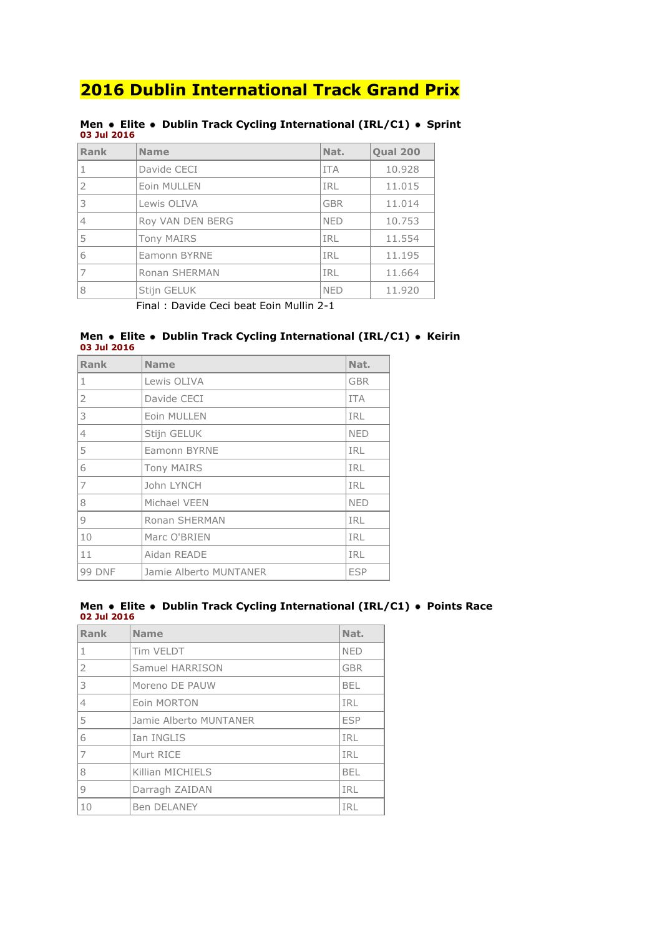| UJ JUL ZUIO                              |                   |            |                 |  |
|------------------------------------------|-------------------|------------|-----------------|--|
| Rank                                     | <b>Name</b>       | Nat.       | <b>Qual 200</b> |  |
|                                          | Davide CECI       | <b>ITA</b> | 10.928          |  |
|                                          | Eoin MULLEN       | IRL        | 11.015          |  |
| 3                                        | Lewis OLIVA       | <b>GBR</b> | 11.014          |  |
| $\overline{4}$                           | Roy VAN DEN BERG  | <b>NED</b> | 10.753          |  |
| 5                                        | <b>Tony MAIRS</b> | IRL        | 11.554          |  |
| 6                                        | Eamonn BYRNE      | <b>IRL</b> | 11.195          |  |
|                                          | Ronan SHERMAN     | IRL        | 11.664          |  |
| 8                                        | Stijn GELUK       | <b>NED</b> | 11.920          |  |
| Einal : Davide Ceci beat Eoin Mullin 2-1 |                   |            |                 |  |

#### **Men • Elite • Dublin Track Cycling International (IRL/C1) • Sprint 03 Jul 2016**

Final : Davide Ceci beat Eoin Mullin 2-1

#### **Men Elite Dublin Track Cycling International (IRL/C1) Keirin 03 Jul 2016**

| <b>Rank</b>    | <b>Name</b>            | Nat.       |
|----------------|------------------------|------------|
| $\mathbf{1}$   | Lewis OLIVA            | <b>GBR</b> |
| $\overline{2}$ | Davide CECI            | <b>ITA</b> |
| 3              | Eoin MULLEN            | <b>IRL</b> |
| $\overline{4}$ | Stijn GELUK            | <b>NED</b> |
| 5              | Eamonn BYRNE           | <b>IRL</b> |
| 6              | <b>Tony MAIRS</b>      | IRL        |
| $\overline{7}$ | John LYNCH             | IRL        |
| 8              | Michael VEEN           | <b>NED</b> |
| 9              | Ronan SHERMAN          | <b>IRL</b> |
| 10             | Marc O'BRIEN           | <b>IRL</b> |
| 11             | Aidan READE            | <b>IRL</b> |
| 99 DNF         | Jamie Alberto MUNTANER | <b>ESP</b> |

#### **Men Elite Dublin Track Cycling International (IRL/C1) Points Race 02 Jul 2016**

| Rank           | <b>Name</b>            | Nat.       |
|----------------|------------------------|------------|
| 1              | Tim VELDT              | <b>NED</b> |
| $\overline{2}$ | Samuel HARRISON        | <b>GBR</b> |
| 3              | Moreno DE PAUW         | <b>BEL</b> |
| $\overline{4}$ | Eoin MORTON            | IRL        |
| 5              | Jamie Alberto MUNTANER | <b>ESP</b> |
| 6              | Ian INGLIS             | IRL        |
| $\overline{7}$ | Murt RICE              | IRL        |
| 8              | Killian MICHIELS       | <b>BEL</b> |
| $\circ$        | Darragh ZAIDAN         | IRL        |
| 10             | <b>Ben DELANEY</b>     | IRL        |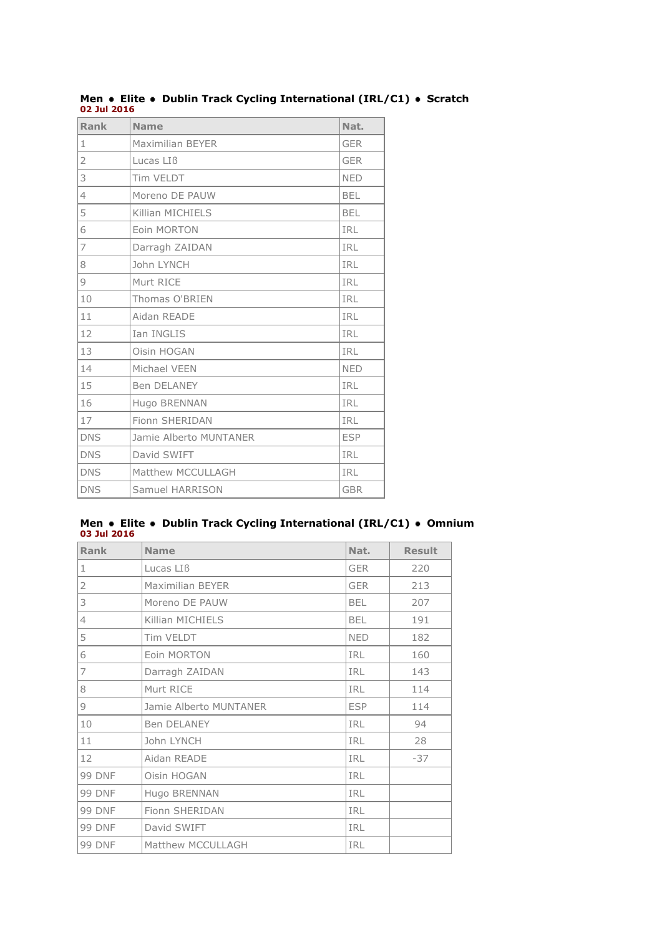| Rank           | <b>Name</b>             | Nat.       |
|----------------|-------------------------|------------|
| $\mathbf{1}$   | <b>Maximilian BEYER</b> | <b>GER</b> |
| $\overline{2}$ | Lucas LIB               | <b>GER</b> |
| 3              | Tim VELDT               | <b>NED</b> |
| $\overline{4}$ | Moreno DE PAUW          | <b>BEL</b> |
| 5              | Killian MICHIELS        | <b>BEL</b> |
| 6              | <b>Eoin MORTON</b>      | <b>IRL</b> |
| 7              | Darragh ZAIDAN          | IRL        |
| 8              | John LYNCH              | <b>IRL</b> |
| 9              | Murt RICE               | <b>IRL</b> |
| 10             | Thomas O'BRIEN          | IRL        |
| 11             | Aidan READE             | <b>IRL</b> |
| 12             | Ian INGLIS              | <b>IRL</b> |
| 13             | Oisin HOGAN             | <b>IRL</b> |
| 14             | Michael VEEN            | <b>NED</b> |
| 15             | Ben DELANEY             | <b>IRL</b> |
| 16             | Hugo BRENNAN            | IRL        |
| 17             | Fionn SHERIDAN          | <b>IRL</b> |
| <b>DNS</b>     | Jamie Alberto MUNTANER  | <b>ESP</b> |
| <b>DNS</b>     | David SWIFT             | <b>IRL</b> |
| <b>DNS</b>     | Matthew MCCULLAGH       | <b>IRL</b> |
| <b>DNS</b>     | Samuel HARRISON         | <b>GBR</b> |

**Men • Elite • Dublin Track Cycling International (IRL/C1) • Scratch 02 Jul 2016**

#### **Men Elite Dublin Track Cycling International (IRL/C1) Omnium 03 Jul 2016**

| Rank           | <b>Name</b>            | Nat.       | <b>Result</b> |
|----------------|------------------------|------------|---------------|
| 1              | Lucas LIB              | <b>GER</b> | 220           |
| $\overline{2}$ | Maximilian BEYER       | <b>GER</b> | 213           |
| 3              | Moreno DE PAUW         | <b>BEL</b> | 207           |
| $\overline{4}$ | Killian MICHIELS       | <b>BEL</b> | 191           |
| 5              | Tim VELDT              | <b>NED</b> | 182           |
| 6              | Eoin MORTON            | <b>IRL</b> | 160           |
| 7              | Darragh ZAIDAN         | <b>IRL</b> | 143           |
| 8              | Murt RICE              | <b>IRL</b> | 114           |
| 9              | Jamie Alberto MUNTANER | <b>ESP</b> | 114           |
| 10             | Ben DELANEY            | <b>IRL</b> | 94            |
| 11             | John LYNCH             | <b>IRL</b> | 28            |
| 12             | Aidan READE            | <b>IRL</b> | $-37$         |
| <b>99 DNF</b>  | Oisin HOGAN            | IRL        |               |
| <b>99 DNF</b>  | Hugo BRENNAN           | <b>IRL</b> |               |
| <b>99 DNF</b>  | Fionn SHERIDAN         | <b>IRL</b> |               |
| <b>99 DNF</b>  | David SWIFT            | <b>IRL</b> |               |
| <b>99 DNF</b>  | Matthew MCCULLAGH      | IRL        |               |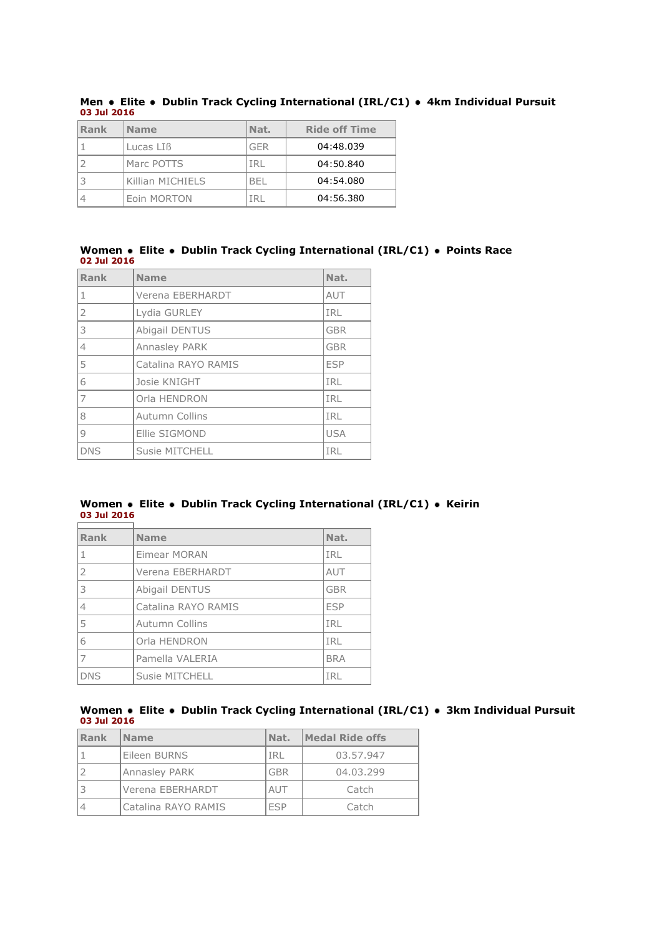| Rank | <b>Name</b>       | Nat.       | <b>Ride off Time</b> |
|------|-------------------|------------|----------------------|
|      | Lucas LIB         | <b>GFR</b> | 04:48.039            |
|      | <b>Marc POTTS</b> |            | 04:50.840            |
|      | Killian MICHIELS  | 'BEI       | 04:54.080            |
|      | Eoin MORTON       |            | 04:56.380            |

**Men Elite Dublin Track Cycling International (IRL/C1) 4km Individual Pursuit 03 Jul 2016**

#### **Women Elite Dublin Track Cycling International (IRL/C1) Points Race 02 Jul 2016**

| Rank           | <b>Name</b>           | Nat.       |
|----------------|-----------------------|------------|
| 1              | Verena EBERHARDT      | AUT        |
| $\overline{2}$ | Lydia GURLEY          | IRL        |
| 3              | Abigail DENTUS        | <b>GBR</b> |
| 4              | Annasley PARK         | <b>GBR</b> |
| 5              | Catalina RAYO RAMIS   | <b>ESP</b> |
| 6              | Josie KNIGHT          | IRL        |
| 7              | Orla HENDRON          | IRL        |
| 8              | <b>Autumn Collins</b> | IRL        |
| $\mathsf{Q}$   | Ellie SIGMOND         | <b>USA</b> |
| <b>DNS</b>     | Susie MITCHELL        | IRL        |

#### **Women** • Elite • Dublin Track Cycling International (IRL/C1) • Keirin **03 Jul 2016** H.

| Rank           | <b>Name</b>           | Nat.       |
|----------------|-----------------------|------------|
| 1              | Eimear MORAN          | <b>IRL</b> |
| $\overline{2}$ | Verena EBERHARDT      | AUT        |
| 3              | Abigail DENTUS        | <b>GBR</b> |
| 4              | Catalina RAYO RAMIS   | <b>ESP</b> |
| 5              | <b>Autumn Collins</b> | IRL        |
| 6              | Orla HENDRON          | IRL        |
| $\overline{7}$ | Pamella VALERIA       | <b>BRA</b> |
| <b>DNS</b>     | Susie MITCHELL        | IRL        |

### **Women Elite Dublin Track Cycling International (IRL/C1) 3km Individual Pursuit 03 Jul 2016**

| Rank | <b>Name</b>          | INat.      | Medal Ride offs |
|------|----------------------|------------|-----------------|
|      | Eileen BURNS         | IRL        | 03.57.947       |
|      | <b>Annasley PARK</b> | GBR        | 04.03.299       |
|      | Verena EBERHARDT     | AUT        | Catch           |
|      | Catalina RAYO RAMIS  | <b>FSP</b> | Catch           |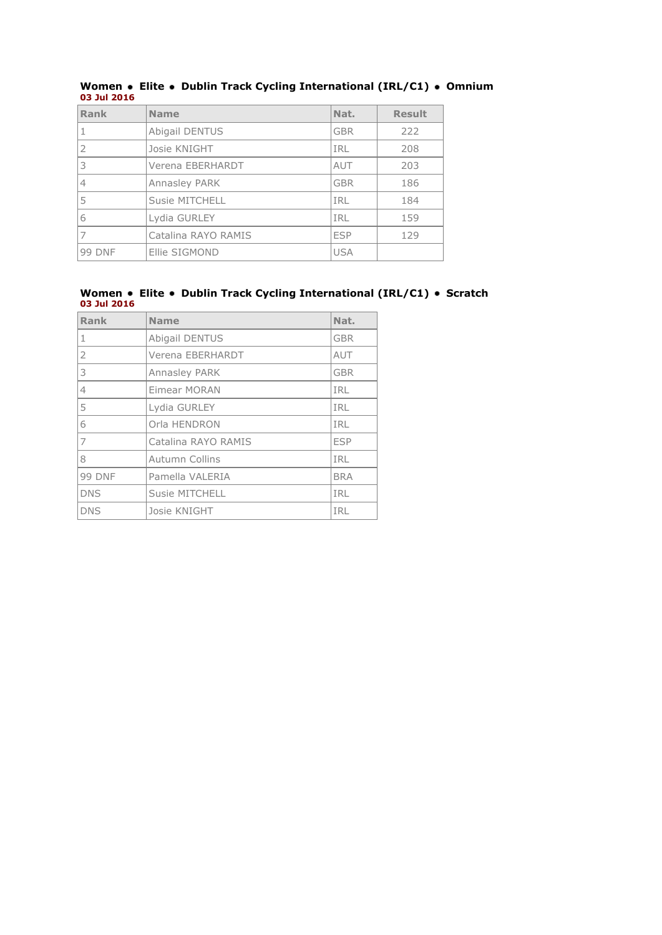| Rank          | <b>Name</b>         | Nat.       | <b>Result</b> |
|---------------|---------------------|------------|---------------|
|               | Abigail DENTUS      | <b>GBR</b> | 222           |
| $\mathcal{P}$ | Josie KNIGHT        | IRL        | 208           |
| 3             | Verena EBERHARDT    | AUT        | 203           |
|               | Annasley PARK       | <b>GBR</b> | 186           |
|               | Susie MITCHELL      | <b>IRL</b> | 184           |
| 6             | Lydia GURLEY        | <b>IRL</b> | 159           |
|               | Catalina RAYO RAMIS | <b>ESP</b> | 129           |
| <b>99 DNF</b> | Ellie SIGMOND       | <b>USA</b> |               |

#### **Women Elite Dublin Track Cycling International (IRL/C1) Omnium 03 Jul 2016**

#### **Women • Elite • Dublin Track Cycling International (IRL/C1) • Scratch 03 Jul 2016**

| Rank          | <b>Name</b>         | Nat.       |
|---------------|---------------------|------------|
| $\mathbf{1}$  | Abigail DENTUS      | <b>GBR</b> |
| 2             | Verena EBERHARDT    | AUT        |
| 3             | Annasley PARK       | <b>GBR</b> |
| 4             | Eimear MORAN        | <b>IRL</b> |
| 5             | Lydia GURLEY        | <b>IRL</b> |
| 6             | Orla HENDRON        | <b>IRL</b> |
| 7             | Catalina RAYO RAMIS | <b>ESP</b> |
| 8             | Autumn Collins      | <b>IRL</b> |
| <b>99 DNF</b> | Pamella VALERIA     | <b>BRA</b> |
| <b>DNS</b>    | Susie MITCHELL      | <b>IRL</b> |
| <b>DNS</b>    | Josie KNIGHT        | IRL        |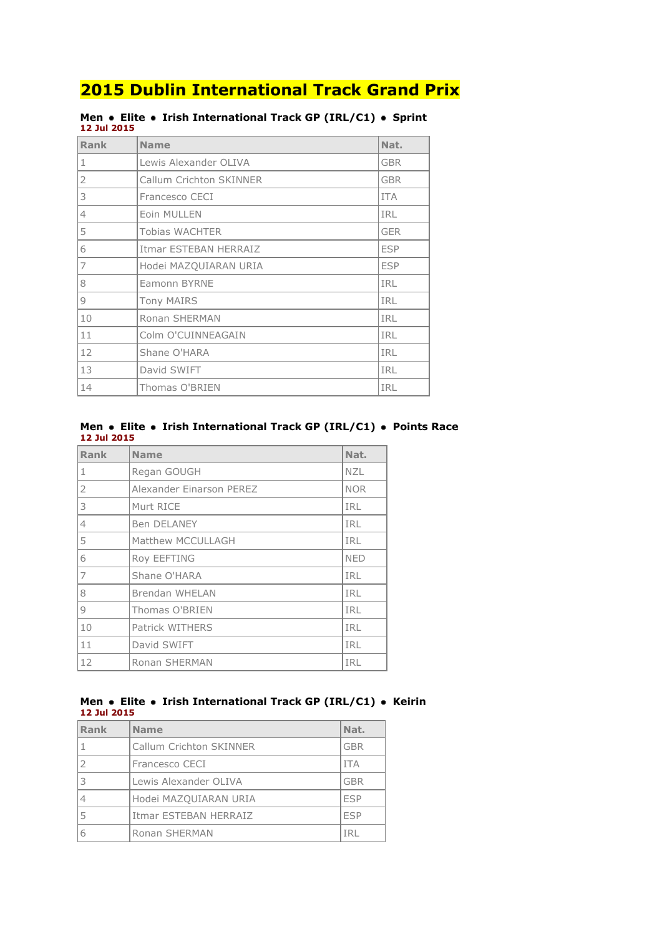| Rank           | <b>Name</b>             | Nat.       |
|----------------|-------------------------|------------|
| $\mathbf{1}$   | Lewis Alexander OLIVA   | <b>GBR</b> |
| 2              | Callum Crichton SKINNER | <b>GBR</b> |
| 3              | Francesco CECI          | <b>ITA</b> |
| $\overline{4}$ | Eoin MULLEN             | <b>IRL</b> |
| 5              | <b>Tobias WACHTER</b>   | <b>GER</b> |
| 6              | Itmar ESTEBAN HERRAIZ   | <b>ESP</b> |
| 7              | Hodei MAZQUIARAN URIA   | <b>ESP</b> |
| 8              | Eamonn BYRNE            | <b>IRL</b> |
| 9              | <b>Tony MAIRS</b>       | <b>IRL</b> |
| 10             | Ronan SHERMAN           | <b>IRL</b> |
| 11             | Colm O'CUINNEAGAIN      | <b>IRL</b> |
| 12             | Shane O'HARA            | <b>IRL</b> |
| 13             | David SWIFT             | <b>IRL</b> |
| 14             | Thomas O'BRIEN          | IRL        |

#### **Men • Elite • Irish International Track GP (IRL/C1) • Sprint 12 Jul 2015**

#### **Men Elite Irish International Track GP (IRL/C1) Points Race 12 Jul 2015**

| <b>Rank</b>    | <b>Name</b>              | Nat.       |
|----------------|--------------------------|------------|
| 1              | Regan GOUGH              | <b>NZL</b> |
| 2              | Alexander Einarson PEREZ | <b>NOR</b> |
| 3              | Murt RICE                | IRL        |
| $\overline{4}$ | <b>Ben DELANEY</b>       | <b>IRL</b> |
| 5              | Matthew MCCULLAGH        | IRL        |
| 6              | <b>Roy EEFTING</b>       | <b>NED</b> |
| 17             | Shane O'HARA             | <b>IRL</b> |
| 8              | <b>Brendan WHELAN</b>    | IRL        |
| 9              | Thomas O'BRIEN           | <b>IRL</b> |
| 10             | Patrick WITHERS          | <b>IRL</b> |
| 11             | David SWIFT              | IRL        |
| 12             | Ronan SHERMAN            | IRL        |

#### **Men Elite Irish International Track GP (IRL/C1) Keirin 12 Jul 2015**

| Rank | <b>Name</b>             | Nat.       |
|------|-------------------------|------------|
|      | Callum Crichton SKINNER | <b>GBR</b> |
|      | Francesco CECI          | <b>ITA</b> |
| 3    | Lewis Alexander OLIVA   | <b>GBR</b> |
|      | Hodei MAZOUIARAN URIA   | <b>FSP</b> |
|      | Itmar ESTEBAN HERRAIZ   | <b>FSP</b> |
|      | Ronan SHERMAN           | TR.        |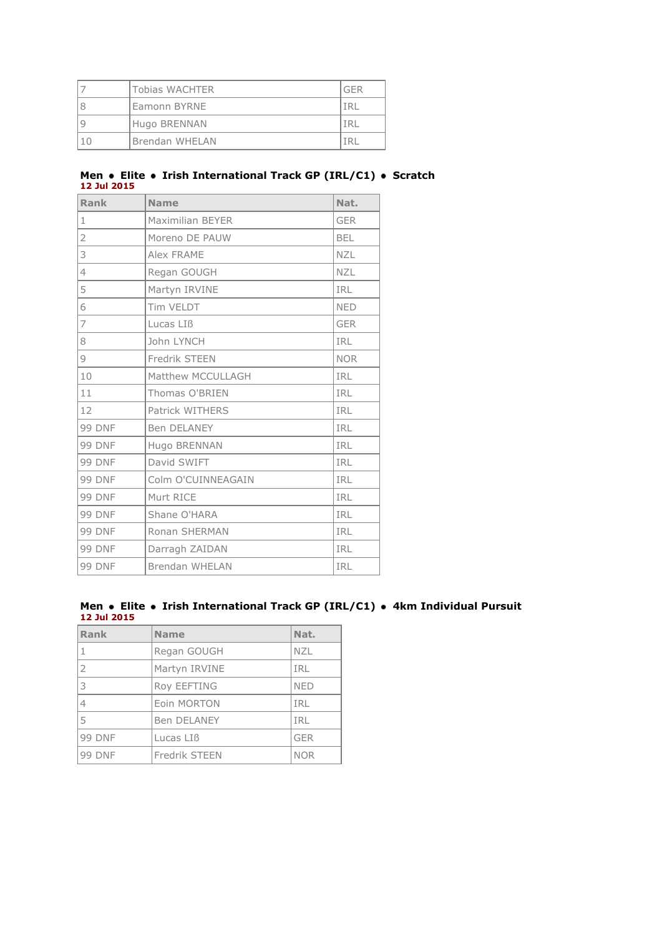| Tobias WACHTER | GFR |
|----------------|-----|
| Eamonn BYRNE   |     |
| Hugo BRENNAN   |     |
| Brendan WHELAN |     |

#### **Men • Elite • Irish International Track GP (IRL/C1) • Scratch 12 Jul 2015**

| Rank           | <b>Name</b>             | Nat.       |
|----------------|-------------------------|------------|
| $1\,$          | <b>Maximilian BEYER</b> | <b>GER</b> |
| $\overline{2}$ | Moreno DE PAUW          | <b>BEL</b> |
| 3              | Alex FRAME              | <b>NZL</b> |
| $\overline{4}$ | Regan GOUGH             | <b>NZL</b> |
| 5              | Martyn IRVINE           | <b>IRL</b> |
| 6              | Tim VELDT               | <b>NED</b> |
| 7              | Lucas LIB               | <b>GER</b> |
| 8              | John LYNCH              | <b>IRL</b> |
| 9              | Fredrik STEEN           | <b>NOR</b> |
| 10             | Matthew MCCULLAGH       | IRL        |
| 11             | Thomas O'BRIEN          | <b>IRL</b> |
| 12             | Patrick WITHERS         | <b>IRL</b> |
| <b>99 DNF</b>  | <b>Ben DELANEY</b>      | <b>IRL</b> |
| <b>99 DNF</b>  | Hugo BRENNAN            | <b>IRL</b> |
| <b>99 DNF</b>  | David SWIFT             | <b>IRL</b> |
| <b>99 DNF</b>  | Colm O'CUINNEAGAIN      | <b>IRL</b> |
| <b>99 DNF</b>  | Murt RICE               | <b>IRL</b> |
| <b>99 DNF</b>  | Shane O'HARA            | <b>IRL</b> |
| <b>99 DNF</b>  | Ronan SHERMAN           | IRL        |
| <b>99 DNF</b>  | Darragh ZAIDAN          | <b>IRL</b> |
| <b>99 DNF</b>  | Brendan WHELAN          | <b>IRL</b> |

#### **Men Elite Irish International Track GP (IRL/C1) 4km Individual Pursuit 12 Jul 2015**

| Rank           | <b>Name</b>        | Nat.       |
|----------------|--------------------|------------|
| 1              | Regan GOUGH        | <b>NZL</b> |
| $\overline{2}$ | Martyn IRVINE      | IRL        |
| 3              | Roy EEFTING        | <b>NED</b> |
| 4              | Eoin MORTON        | IRL        |
| 5              | <b>Ben DELANEY</b> | IRL        |
| <b>99 DNF</b>  | Lucas LIB          | <b>GER</b> |
| <b>99 DNF</b>  | Fredrik STEEN      | <b>NOR</b> |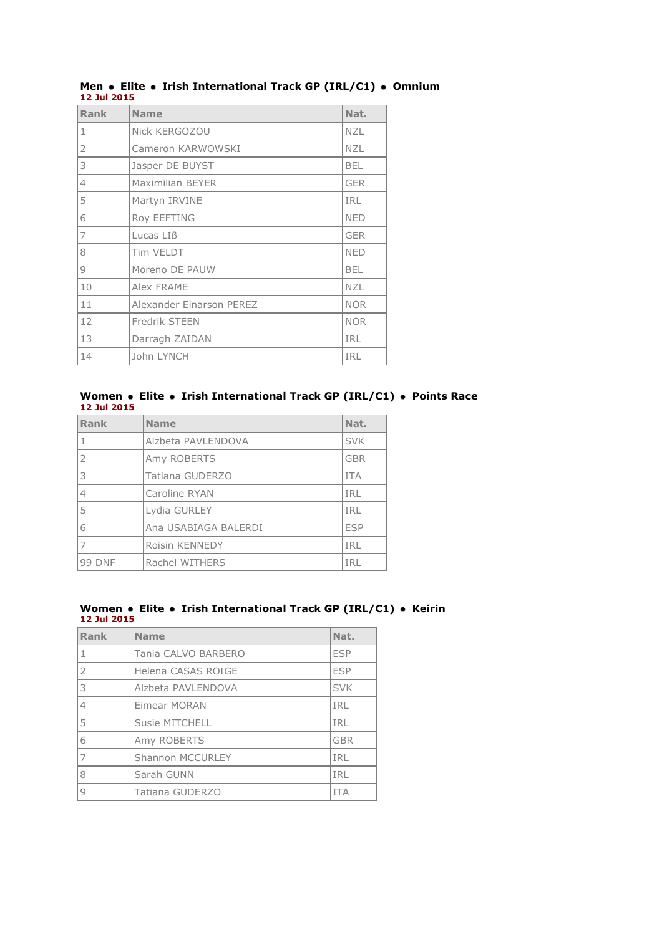| Rank           | <b>Name</b>              | Nat.       |
|----------------|--------------------------|------------|
| 1              | Nick KERGOZOU            | <b>NZL</b> |
| $\overline{2}$ | Cameron KARWOWSKI        | <b>NZL</b> |
| 3              | Jasper DE BUYST          | <b>BEL</b> |
| $\overline{4}$ | <b>Maximilian BEYER</b>  | <b>GER</b> |
| 5              | Martyn IRVINE            | IRL        |
| 6              | Roy EEFTING              | <b>NED</b> |
| 7              | Lucas LIB                | <b>GER</b> |
| 8              | Tim VELDT                | <b>NED</b> |
| 9              | Moreno DE PAUW           | <b>BEL</b> |
| 10             | Alex FRAME               | <b>NZL</b> |
| 11             | Alexander Einarson PEREZ | <b>NOR</b> |
| 12             | Fredrik STEEN            | <b>NOR</b> |
| 13             | Darragh ZAIDAN           | <b>IRL</b> |
| 14             | John LYNCH               | <b>IRL</b> |

#### **Men Elite Irish International Track GP (IRL/C1) Omnium 12 Jul 2015**

#### **Women Elite Irish International Track GP (IRL/C1) Points Race 12 Jul 2015**

| Rank           | <b>Name</b>          | Nat.       |
|----------------|----------------------|------------|
| 1              | Alzbeta PAVLENDOVA   | <b>SVK</b> |
| $\overline{2}$ | Amy ROBERTS          | <b>GBR</b> |
| 3              | Tatiana GUDERZO      | <b>ITA</b> |
| $\overline{4}$ | Caroline RYAN        | <b>IRL</b> |
| 5              | Lydia GURLEY         | <b>IRL</b> |
| 6              | Ana USABIAGA BALERDI | <b>ESP</b> |
| 7              | Roisin KENNEDY       | <b>IRL</b> |
| <b>99 DNF</b>  | Rachel WITHERS       | TRI        |

#### **Women Elite Irish International Track GP (IRL/C1) Keirin 12 Jul 2015**

| Rank           | <b>Name</b>           | Nat.       |
|----------------|-----------------------|------------|
| 1              | Tania CALVO BARBERO   | <b>ESP</b> |
| $\overline{2}$ | Helena CASAS ROIGE    | <b>FSP</b> |
| 3              | Alzbeta PAVLENDOVA    | <b>SVK</b> |
| 4              | Eimear MORAN          | IRL        |
| 5              | <b>Susie MITCHELL</b> | IRL        |
| 6              | Amy ROBERTS           | <b>GBR</b> |
| 7              | Shannon MCCURLEY      | IRL        |
| 8              | Sarah GUNN            | <b>TRI</b> |
|                | Tatiana GUDERZO       | <b>TTA</b> |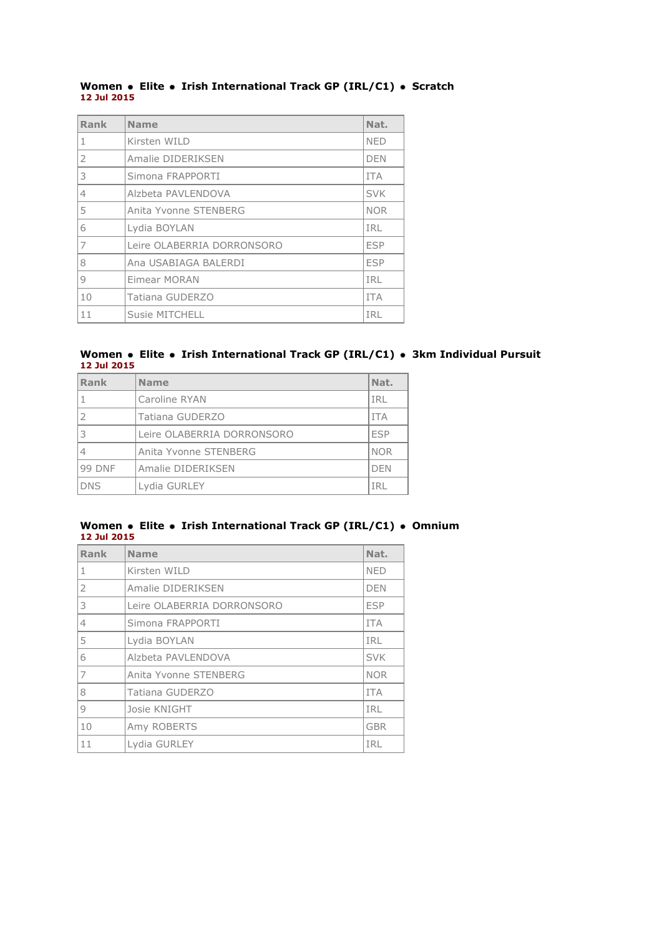#### **Women • Elite • Irish International Track GP (IRL/C1) • Scratch 12 Jul 2015**

| Rank           | <b>Name</b>                | Nat.       |
|----------------|----------------------------|------------|
| 1              | Kirsten WILD               | <b>NED</b> |
| $\mathcal{P}$  | Amalie DIDERIKSEN          | <b>DEN</b> |
| 3              | Simona FRAPPORTI           | <b>ITA</b> |
| $\overline{4}$ | Alzbeta PAVLENDOVA         | <b>SVK</b> |
| 5              | Anita Yvonne STENBERG      | <b>NOR</b> |
| 6              | Lydia BOYLAN               | IRL        |
| 7              | Leire OLABERRIA DORRONSORO | <b>ESP</b> |
| 8              | Ana USABIAGA BALERDI       | <b>ESP</b> |
| 9              | Eimear MORAN               | IRL        |
| 10             | Tatiana GUDERZO            | <b>TTA</b> |
| 11             | Susie MITCHELL             | IRL        |

#### **Women Elite Irish International Track GP (IRL/C1) 3km Individual Pursuit 12 Jul 2015**

| Rank          | <b>Name</b>                | Nat.       |
|---------------|----------------------------|------------|
| 1             | Caroline RYAN              | IRL        |
| <sup>2</sup>  | Tatiana GUDERZO            | <b>ITA</b> |
| l 3           | Leire OLABERRIA DORRONSORO | <b>ESP</b> |
| 4             | Anita Yvonne STENBERG      | <b>NOR</b> |
| <b>99 DNF</b> | Amalie DIDERIKSEN          | <b>DEN</b> |
| <b>DNS</b>    | Lydia GURLEY               | IRL        |

### **Women** • Elite • Irish International Track GP (IRL/C1) • Omnium **12 Jul 2015**

| Rank           | <b>Name</b>                | Nat.       |
|----------------|----------------------------|------------|
| 1              | Kirsten WILD               | <b>NED</b> |
| 2              | Amalie DIDERIKSEN          | <b>DEN</b> |
| 3              | Leire OLABERRIA DORRONSORO | <b>ESP</b> |
| $\vert$ 4      | Simona FRAPPORTI           | <b>ITA</b> |
| 15             | Lydia BOYLAN               | <b>IRL</b> |
| 6              | Alzbeta PAVLENDOVA         | <b>SVK</b> |
| 17             | Anita Yvonne STENBERG      | <b>NOR</b> |
| 8              | Tatiana GUDERZO            | <b>ITA</b> |
| $\overline{9}$ | Josie KNIGHT               | IRL        |
| 10             | Amy ROBERTS                | <b>GBR</b> |
| 11             | Lydia GURLEY               | IRL        |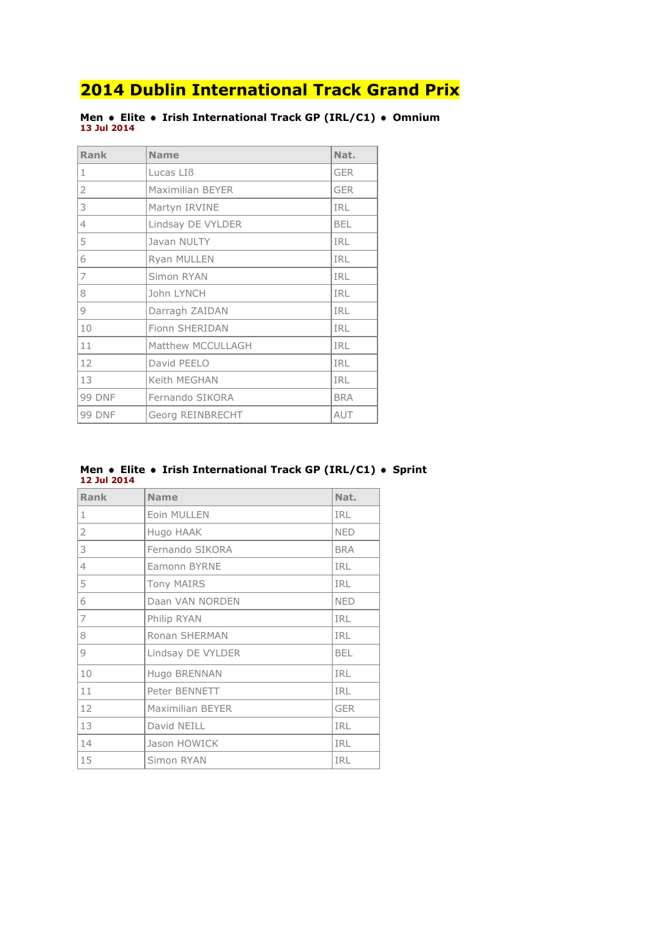**Men Elite Irish International Track GP (IRL/C1) Omnium 13 Jul 2014**

| <b>Rank</b>    | <b>Name</b>       | Nat.       |
|----------------|-------------------|------------|
| 11             | Lucas LIB         | <b>GER</b> |
| $\overline{2}$ | Maximilian BEYER  | <b>GER</b> |
| 3              | Martyn IRVINE     | <b>IRL</b> |
| $\overline{4}$ | Lindsay DE VYLDER | <b>BEL</b> |
| 5              | Javan NULTY       | <b>IRL</b> |
| 6              | Ryan MULLEN       | <b>IRL</b> |
| 17             | Simon RYAN        | <b>IRL</b> |
| 8              | John LYNCH        | <b>IRL</b> |
| $\overline{9}$ | Darragh ZAIDAN    | <b>IRL</b> |
| 10             | Fionn SHERIDAN    | <b>IRL</b> |
| 11             | Matthew MCCULLAGH | <b>IRL</b> |
| 12             | David PEELO       | <b>IRL</b> |
| 13             | Keith MEGHAN      | <b>IRL</b> |
| <b>99 DNF</b>  | Fernando SIKORA   | <b>BRA</b> |
| <b>99 DNF</b>  | Georg REINBRECHT  | AUT        |

#### **Men • Elite • Irish International Track GP (IRL/C1) • Sprint 12 Jul 2014**

| <b>Rank</b>    | <b>Name</b>       | Nat.       |
|----------------|-------------------|------------|
| $\mathbf{1}$   | Eoin MULLEN       | <b>IRL</b> |
| 2              | Hugo HAAK         | <b>NED</b> |
| 3              | Fernando SIKORA   | <b>BRA</b> |
| $\overline{4}$ | Eamonn BYRNE      | <b>IRL</b> |
| 5              | <b>Tony MAIRS</b> | <b>IRL</b> |
| 6              | Daan VAN NORDEN   | <b>NED</b> |
| $\overline{7}$ | Philip RYAN       | IRL        |
| 8              | Ronan SHERMAN     | IRL        |
| 9              | Lindsay DE VYLDER | <b>BEL</b> |
| 10             | Hugo BRENNAN      | IRL        |
| 11             | Peter BENNETT     | <b>IRL</b> |
| 12             | Maximilian BEYER  | <b>GER</b> |
| 13             | David NEILL       | IRL        |
| 14             | Jason HOWICK      | <b>IRL</b> |
| 15             | Simon RYAN        | <b>IRL</b> |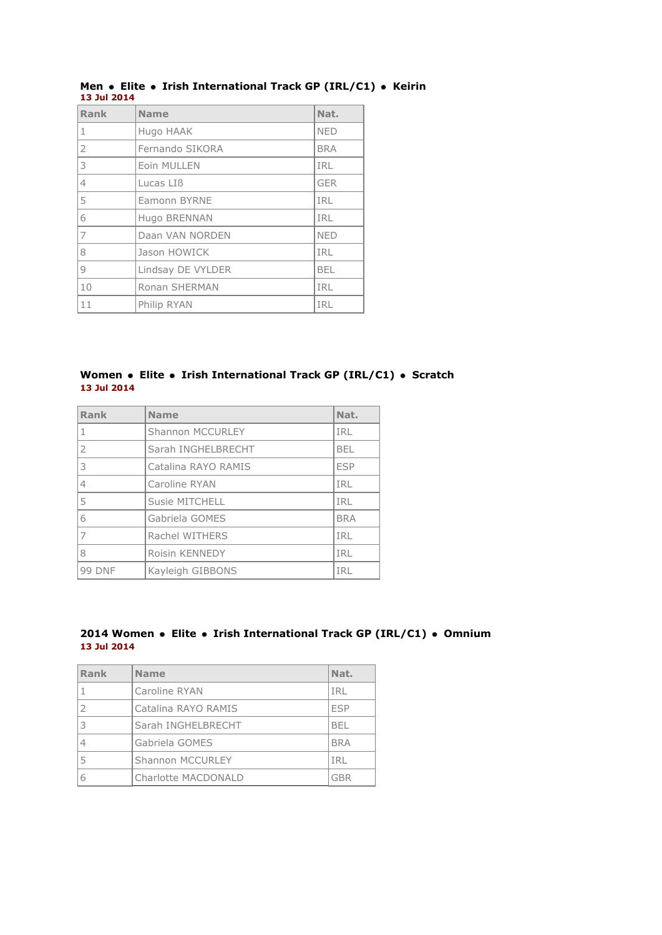| Rank           | <b>Name</b>       | Nat.       |
|----------------|-------------------|------------|
| 1              | Hugo HAAK         | <b>NED</b> |
| 2              | Fernando SIKORA   | <b>BRA</b> |
| 3              | Eoin MULLEN       | <b>IRL</b> |
| $\overline{4}$ | Lucas LIB         | <b>GER</b> |
| 5              | Eamonn BYRNE      | <b>IRL</b> |
| 6              | Hugo BRENNAN      | <b>IRL</b> |
| $\overline{7}$ | Daan VAN NORDEN   | <b>NED</b> |
| 8              | Jason HOWICK      | IRL        |
| $\circ$        | Lindsay DE VYLDER | <b>BEL</b> |
| 10             | Ronan SHERMAN     | <b>IRL</b> |
| 11             | Philip RYAN       | <b>IRL</b> |

### **Men Elite Irish International Track GP (IRL/C1) Keirin 13 Jul 2014**

### **Women • Elite • Irish International Track GP (IRL/C1) • Scratch 13 Jul 2014**

| Rank           | <b>Name</b>             | Nat.       |
|----------------|-------------------------|------------|
| $\mathbf{1}$   | <b>Shannon MCCURLEY</b> | <b>IRL</b> |
| 2              | Sarah INGHELBRECHT      | <b>BEL</b> |
| $\overline{3}$ | Catalina RAYO RAMIS     | <b>ESP</b> |
| $\overline{4}$ | Caroline RYAN           | IRL        |
| 5              | <b>Susie MITCHELL</b>   | <b>IRL</b> |
| 6              | Gabriela GOMES          | <b>BRA</b> |
| $\overline{7}$ | Rachel WITHERS          | IRL        |
| 8              | Roisin KENNEDY          | IRL        |
| <b>99 DNF</b>  | Kayleigh GIBBONS        | IRL        |

### **2014 Women Elite Irish International Track GP (IRL/C1) Omnium 13 Jul 2014**

| Rank | <b>Name</b>             | Nat.       |
|------|-------------------------|------------|
|      | Caroline RYAN           | IRL        |
|      | Catalina RAYO RAMIS     | <b>FSP</b> |
| 3    | Sarah INGHELBRECHT      | <b>BFI</b> |
|      | Gabriela GOMES          | <b>BRA</b> |
| 5    | <b>Shannon MCCURLEY</b> | IRL        |
| 6    | Charlotte MACDONALD     | GBR        |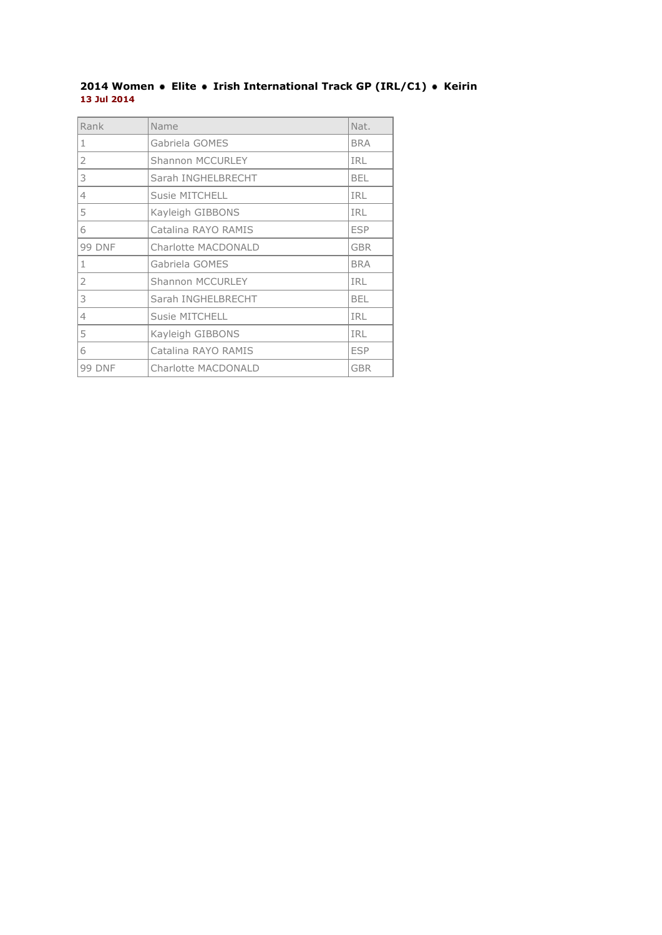### **Women Elite Irish International Track GP (IRL/C1) Keirin 13 Jul 2014**

| Rank           | Name                    | Nat.       |
|----------------|-------------------------|------------|
| 1              | Gabriela GOMES          | <b>BRA</b> |
| $\overline{2}$ | <b>Shannon MCCURLEY</b> | <b>IRL</b> |
| l 3            | Sarah INGHELBRECHT      | <b>BEL</b> |
| $\overline{4}$ | <b>Susie MITCHELL</b>   | IRL        |
| 5              | Kayleigh GIBBONS        | <b>IRL</b> |
| 6              | Catalina RAYO RAMIS     | <b>ESP</b> |
| <b>99 DNF</b>  | Charlotte MACDONALD     | <b>GBR</b> |
| $1\,$          | Gabriela GOMES          | <b>BRA</b> |
| 2              | <b>Shannon MCCURLEY</b> | <b>IRL</b> |
| 3              | Sarah INGHELBRECHT      | <b>BEL</b> |
| $\overline{4}$ | <b>Susie MITCHELL</b>   | <b>IRL</b> |
| 5              | Kayleigh GIBBONS        | <b>IRL</b> |
| 6              | Catalina RAYO RAMIS     | <b>ESP</b> |
| <b>99 DNF</b>  | Charlotte MACDONALD     | <b>GBR</b> |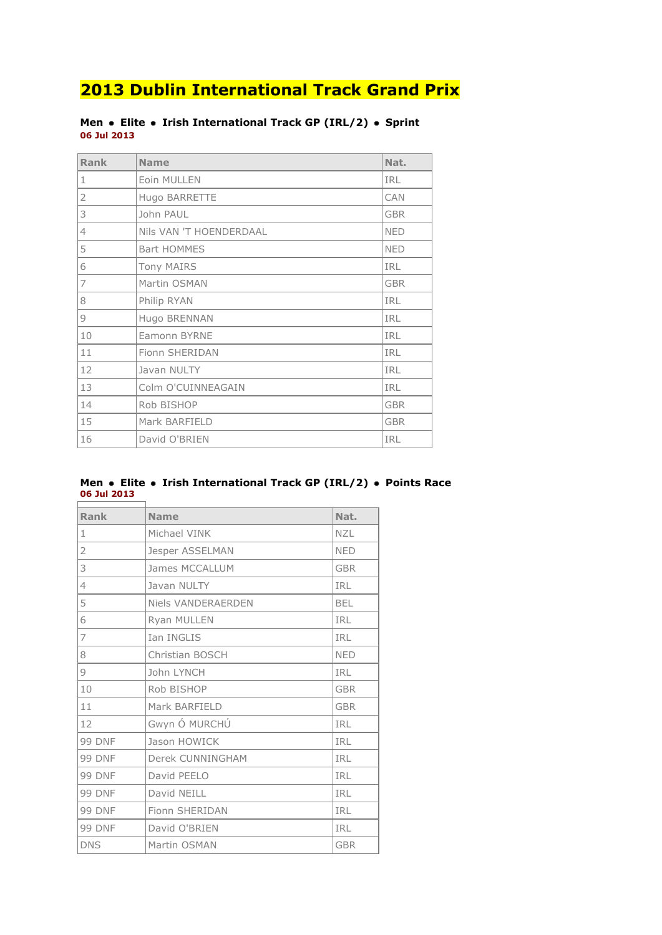### **Men** • Elite • Irish International Track GP (IRL/2) • Sprint **06 Jul 2013**

| <b>Rank</b>    | <b>Name</b>             | Nat.       |
|----------------|-------------------------|------------|
| $\mathbf{1}$   | Eoin MULLEN             | <b>IRL</b> |
| $\overline{2}$ | Hugo BARRETTE           | CAN        |
| 3              | John PAUL               | <b>GBR</b> |
| $\overline{4}$ | Nils VAN 'T HOENDERDAAL | <b>NED</b> |
| 5              | <b>Bart HOMMES</b>      | <b>NED</b> |
| 6              | <b>Tony MAIRS</b>       | <b>IRL</b> |
| $\overline{7}$ | Martin OSMAN            | <b>GBR</b> |
| 8              | Philip RYAN             | <b>IRL</b> |
| 9              | Hugo BRENNAN            | IRL        |
| 10             | Eamonn BYRNE            | <b>IRL</b> |
| 11             | Fionn SHERIDAN          | IRL        |
| 12             | Javan NULTY             | <b>IRL</b> |
| 13             | Colm O'CUINNEAGAIN      | <b>IRL</b> |
| 14             | Rob BISHOP              | <b>GBR</b> |
| 15             | Mark BARFIELD           | <b>GBR</b> |
| 16             | David O'BRIEN           | <b>IRL</b> |

#### **Men Elite Irish International Track GP (IRL/2) Points Race 06 Jul 2013** r

| Rank           | <b>Name</b>        | Nat.       |
|----------------|--------------------|------------|
| $\mathbf{1}$   | Michael VINK       | <b>NZL</b> |
| 2              | Jesper ASSELMAN    | <b>NED</b> |
| 3              | James MCCALLUM     | <b>GBR</b> |
| $\overline{4}$ | Javan NULTY        | IRL        |
| 5              | Niels VANDERAERDEN | <b>BEL</b> |
| 6              | Ryan MULLEN        | IRL        |
| 7              | <b>Ian INGLIS</b>  | IRL        |
| 8              | Christian BOSCH    | <b>NED</b> |
| 9              | John LYNCH         | <b>IRL</b> |
| 10             | Rob BISHOP         | <b>GBR</b> |
| 11             | Mark BARFIELD      | <b>GBR</b> |
| 12             | Gwyn Ó MURCHÚ      | IRL        |
| <b>99 DNF</b>  | Jason HOWICK       | IRL        |
| <b>99 DNF</b>  | Derek CUNNINGHAM   | IRL        |
| <b>99 DNF</b>  | David PEELO        | IRL        |
| <b>99 DNF</b>  | David NEILL        | IRL        |
| <b>99 DNF</b>  | Fionn SHERIDAN     | IRL        |
| <b>99 DNF</b>  | David O'BRIEN      | IRL        |
| <b>DNS</b>     | Martin OSMAN       | <b>GBR</b> |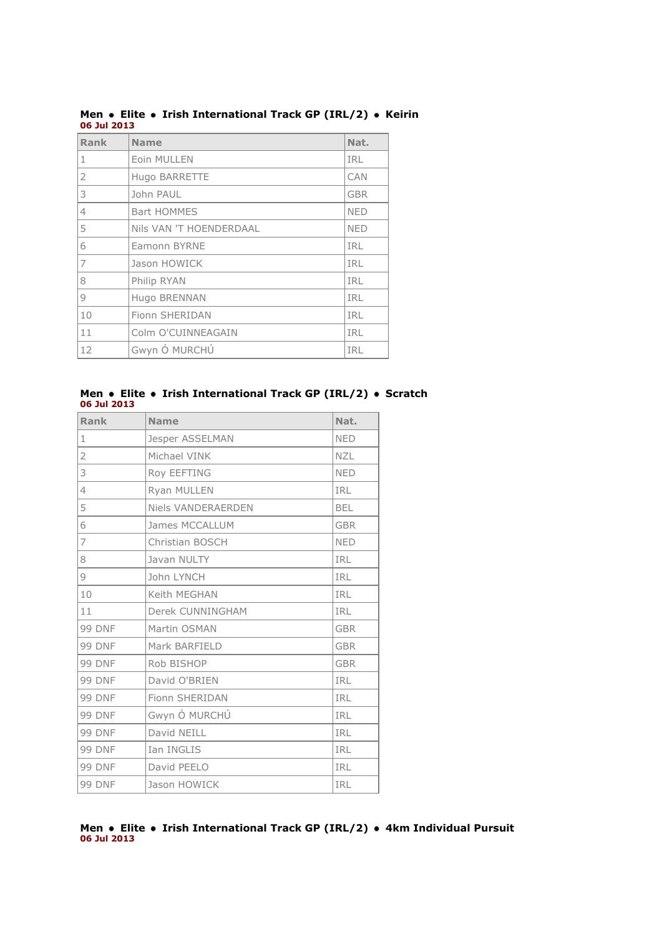| Rank | <b>Name</b>             | Nat.       |
|------|-------------------------|------------|
| 1    | Eoin MULLEN             | <b>IRL</b> |
| 2    | Hugo BARRETTE           | CAN        |
| 3    | John PAUL               | <b>GBR</b> |
| 4    | <b>Bart HOMMES</b>      | <b>NED</b> |
| 5    | Nils VAN 'T HOENDERDAAL | <b>NED</b> |
| 6    | <b>Eamonn BYRNE</b>     | <b>IRL</b> |
| 7    | Jason HOWICK            | <b>IRL</b> |
| 8    | Philip RYAN             | <b>IRL</b> |
| 9    | Hugo BRENNAN            | <b>IRL</b> |
| 10   | Fionn SHERIDAN          | <b>IRL</b> |
| 11   | Colm O'CUINNEAGAIN      | <b>IRL</b> |
| 12   | Gwyn Ó MURCHÚ           | IRL        |

**Men • Elite • Irish International Track GP (IRL/2) • Keirin 06 Jul 2013**

#### **Men • Elite • Irish International Track GP (IRL/2) • Scratch 06 Jul 2013**

| <b>Rank</b>    | <b>Name</b>           | Nat.       |
|----------------|-----------------------|------------|
| $1\,$          | Jesper ASSELMAN       | <b>NED</b> |
| $\overline{2}$ | Michael VINK          | <b>NZL</b> |
| 3              | Roy EEFTING           | <b>NED</b> |
| 4              | Ryan MULLEN           | <b>IRL</b> |
| 5              | Niels VANDERAERDEN    | <b>BEL</b> |
| 6              | <b>James MCCALLUM</b> | <b>GBR</b> |
| 7              | Christian BOSCH       | <b>NED</b> |
| 8              | Javan NULTY           | IRL        |
| 9              | John LYNCH            | IRL        |
| 10             | Keith MEGHAN          | IRL        |
| 11             | Derek CUNNINGHAM      | <b>IRL</b> |
| <b>99 DNF</b>  | Martin OSMAN          | <b>GBR</b> |
| <b>99 DNF</b>  | Mark BARFIELD         | <b>GBR</b> |
| <b>99 DNF</b>  | Rob BISHOP            | <b>GBR</b> |
| <b>99 DNF</b>  | David O'BRIEN         | <b>IRL</b> |
| <b>99 DNF</b>  | Fionn SHERIDAN        | IRL        |
| <b>99 DNF</b>  | Gwyn Ó MURCHÚ         | IRL        |
| <b>99 DNF</b>  | David NEILL           | IRL        |
| <b>99 DNF</b>  | Ian INGLIS            | IRL        |
| <b>99 DNF</b>  | David PEELO           | IRL        |
| <b>99 DNF</b>  | Jason HOWICK          | IRL        |

#### **Men Elite Irish International Track GP (IRL/2) 4km Individual Pursuit 06 Jul 2013**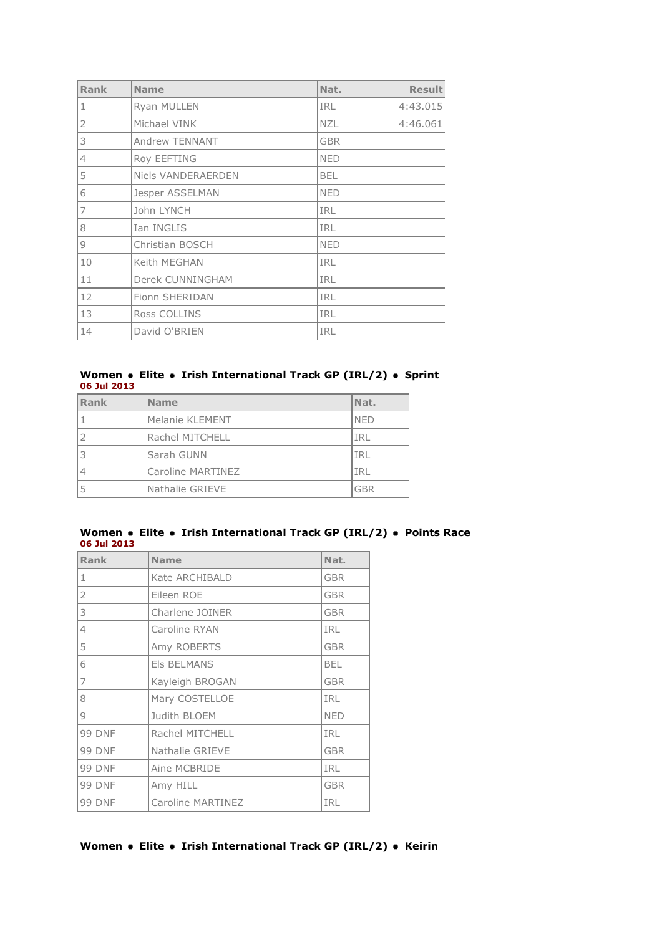| Rank           | <b>Name</b>               | Nat.       | <b>Result</b> |
|----------------|---------------------------|------------|---------------|
| $\mathbf{1}$   | Ryan MULLEN               | <b>IRL</b> | 4:43.015      |
| $\overline{2}$ | Michael VINK              | <b>NZL</b> | 4:46.061      |
| 3              | <b>Andrew TENNANT</b>     | <b>GBR</b> |               |
| $\overline{4}$ | Roy EEFTING               | <b>NED</b> |               |
| 5              | <b>Niels VANDERAERDEN</b> | <b>BEL</b> |               |
| 6              | Jesper ASSELMAN           | <b>NED</b> |               |
| 7              | John LYNCH                | <b>IRL</b> |               |
| 8              | Ian INGLIS                | IRL        |               |
| 9              | Christian BOSCH           | <b>NED</b> |               |
| 10             | Keith MEGHAN              | <b>IRL</b> |               |
| 11             | Derek CUNNINGHAM          | <b>IRL</b> |               |
| 12             | Fionn SHERIDAN            | <b>IRL</b> |               |
| 13             | Ross COLLINS              | <b>IRL</b> |               |
| 14             | David O'BRIEN             | IRL        |               |

#### **Women • Elite • Irish International Track GP (IRL/2) • Sprint 06 Jul 2013**

| Rank | <b>Name</b>       | Nat.       |
|------|-------------------|------------|
|      | Melanie KLEMENT   | <b>NED</b> |
|      | Rachel MITCHELL   | IRL        |
|      | Sarah GUNN        | IRL        |
|      | Caroline MARTINEZ | IRL        |
|      | Nathalie GRIEVE   | GBR        |

#### **Women Elite Irish International Track GP (IRL/2) Points Race 06 Jul 2013**

| Rank          | <b>Name</b>        | Nat.       |
|---------------|--------------------|------------|
| 1             | Kate ARCHIBALD     | <b>GBR</b> |
| 2             | Eileen ROE         | <b>GBR</b> |
| 3             | Charlene JOINER    | <b>GBR</b> |
| 4             | Caroline RYAN      | <b>IRL</b> |
| 5             | Amy ROBERTS        | <b>GBR</b> |
| 6             | <b>EIS BELMANS</b> | <b>BEL</b> |
| 7             | Kayleigh BROGAN    | <b>GBR</b> |
| 8             | Mary COSTELLOE     | <b>IRL</b> |
| 9             | Judith BLOEM       | <b>NED</b> |
| <b>99 DNF</b> | Rachel MITCHELL    | IRL        |
| <b>99 DNF</b> | Nathalie GRIEVE    | <b>GBR</b> |
| <b>99 DNF</b> | Aine MCBRIDE       | IRL        |
| <b>99 DNF</b> | Amy HILL           | <b>GBR</b> |
| <b>99 DNF</b> | Caroline MARTINEZ  | IRL        |

### **Women** • Elite • Irish International Track GP (IRL/2) • Keirin